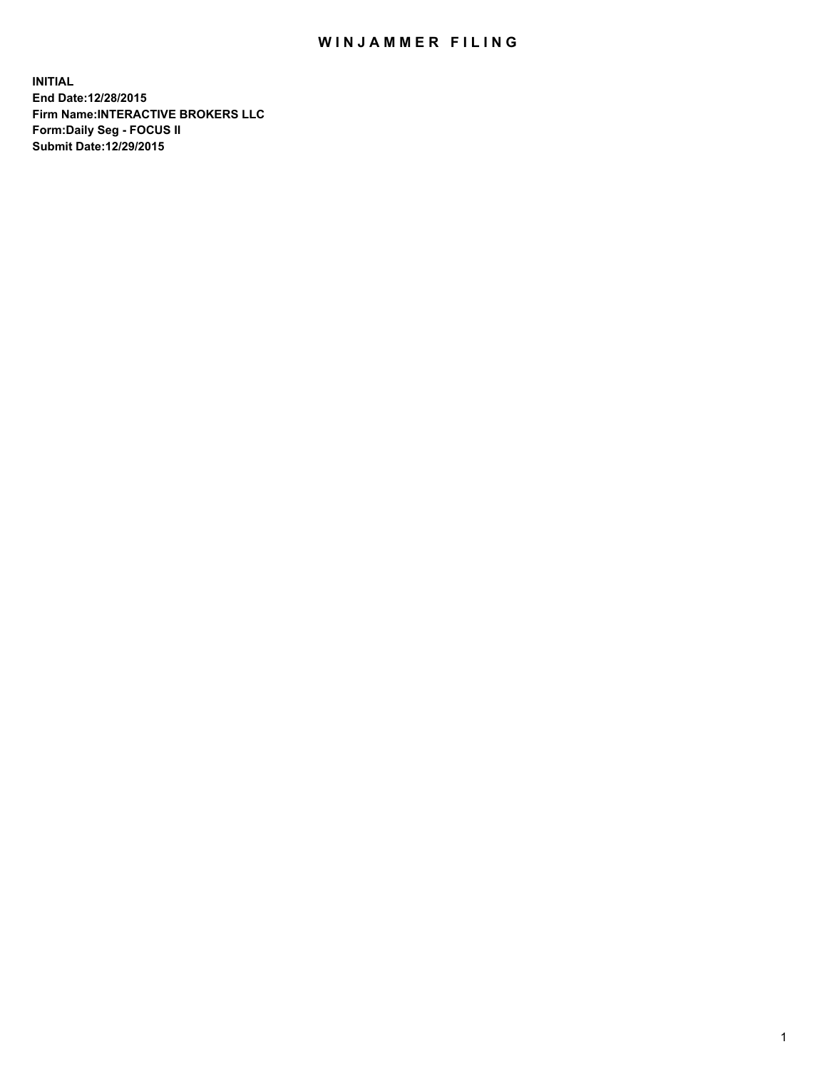## WIN JAMMER FILING

**INITIAL End Date:12/28/2015 Firm Name:INTERACTIVE BROKERS LLC Form:Daily Seg - FOCUS II Submit Date:12/29/2015**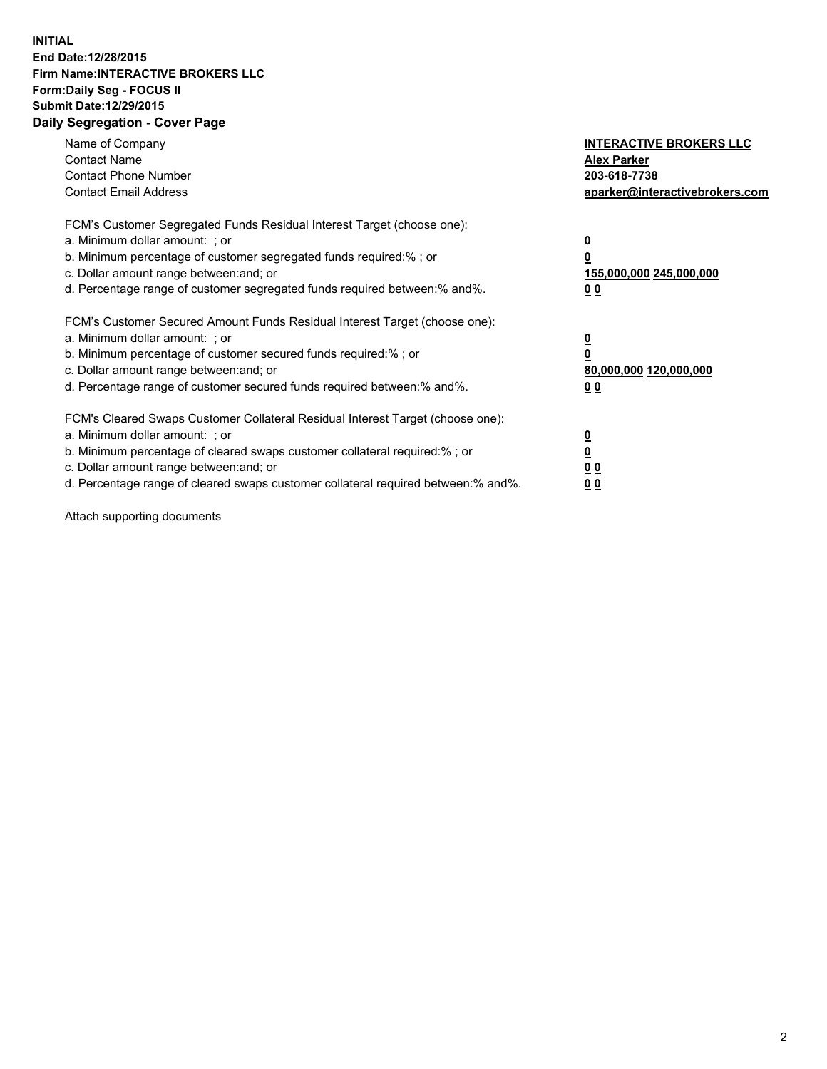## **INITIAL End Date:12/28/2015 Firm Name:INTERACTIVE BROKERS LLC Form:Daily Seg - FOCUS II Submit Date:12/29/2015 Daily Segregation - Cover Page**

| Name of Company<br><b>Contact Name</b><br><b>Contact Phone Number</b><br><b>Contact Email Address</b>                                                                                                                                                                                                                         | <b>INTERACTIVE BROKERS LLC</b><br><b>Alex Parker</b><br>203-618-7738<br>aparker@interactivebrokers.com |
|-------------------------------------------------------------------------------------------------------------------------------------------------------------------------------------------------------------------------------------------------------------------------------------------------------------------------------|--------------------------------------------------------------------------------------------------------|
| FCM's Customer Segregated Funds Residual Interest Target (choose one):<br>a. Minimum dollar amount: ; or<br>b. Minimum percentage of customer segregated funds required:% ; or<br>c. Dollar amount range between: and; or<br>d. Percentage range of customer segregated funds required between:% and%.                        | <u>0</u><br><u>155,000,000 245,000,000</u><br>00                                                       |
| FCM's Customer Secured Amount Funds Residual Interest Target (choose one):<br>a. Minimum dollar amount: ; or<br>b. Minimum percentage of customer secured funds required:% ; or<br>c. Dollar amount range between: and; or<br>d. Percentage range of customer secured funds required between: % and %.                        | $\overline{\mathbf{0}}$<br>80,000,000 120,000,000<br>00                                                |
| FCM's Cleared Swaps Customer Collateral Residual Interest Target (choose one):<br>a. Minimum dollar amount: ; or<br>b. Minimum percentage of cleared swaps customer collateral required:%; or<br>c. Dollar amount range between: and; or<br>d. Percentage range of cleared swaps customer collateral required between:% and%. | <u>0</u><br>0 <sub>0</sub><br><u>00</u>                                                                |

Attach supporting documents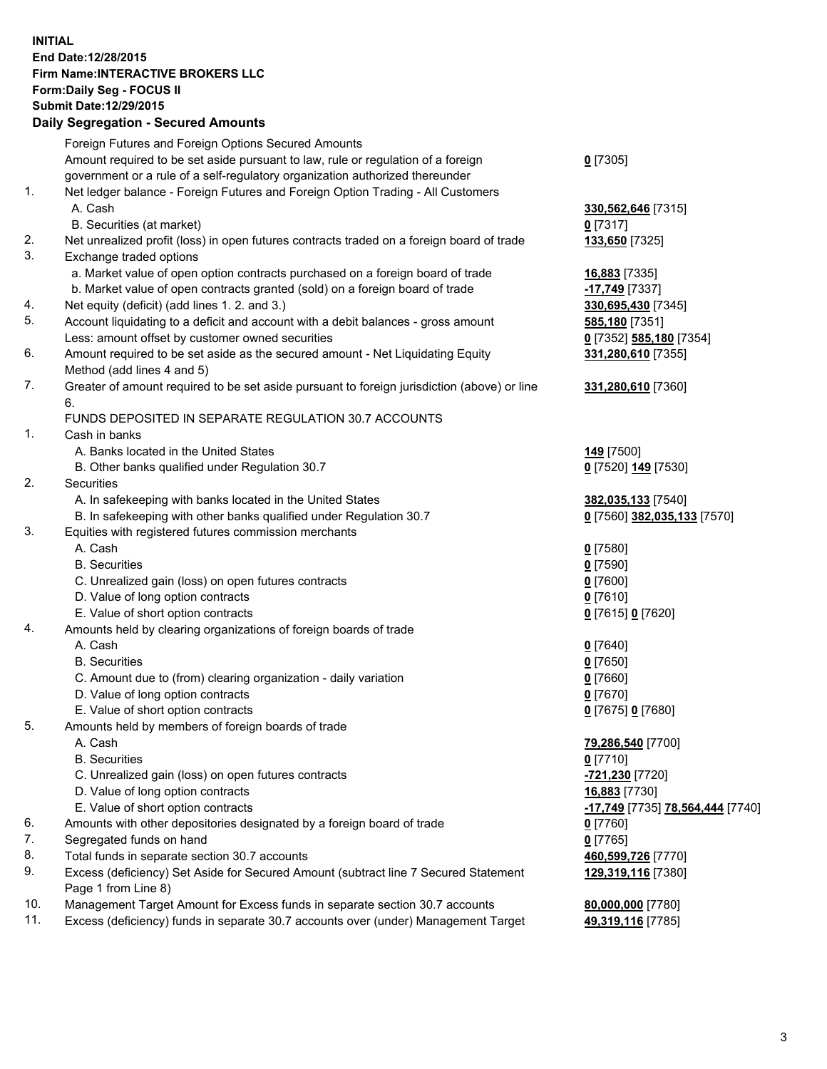## **INITIAL End Date:12/28/2015 Firm Name:INTERACTIVE BROKERS LLC Form:Daily Seg - FOCUS II Submit Date:12/29/2015 Daily Segregation - Secured Amounts**

|     | <b>Dany Ocgregation - Occarea Amounts</b>                                                                  |                                                      |
|-----|------------------------------------------------------------------------------------------------------------|------------------------------------------------------|
|     | Foreign Futures and Foreign Options Secured Amounts                                                        |                                                      |
|     | Amount required to be set aside pursuant to law, rule or regulation of a foreign                           | $0$ [7305]                                           |
|     | government or a rule of a self-regulatory organization authorized thereunder                               |                                                      |
| 1.  | Net ledger balance - Foreign Futures and Foreign Option Trading - All Customers                            |                                                      |
|     | A. Cash                                                                                                    | 330,562,646 [7315]                                   |
|     | B. Securities (at market)                                                                                  | $0$ [7317]                                           |
| 2.  | Net unrealized profit (loss) in open futures contracts traded on a foreign board of trade                  | 133,650 [7325]                                       |
| 3.  | Exchange traded options                                                                                    |                                                      |
|     | a. Market value of open option contracts purchased on a foreign board of trade                             | 16,883 [7335]                                        |
|     | b. Market value of open contracts granted (sold) on a foreign board of trade                               | -17,749 [7337]                                       |
| 4.  | Net equity (deficit) (add lines 1.2. and 3.)                                                               | 330,695,430 [7345]                                   |
| 5.  | Account liquidating to a deficit and account with a debit balances - gross amount                          | 585,180 [7351]                                       |
|     | Less: amount offset by customer owned securities                                                           | 0 [7352] 585,180 [7354]                              |
| 6.  | Amount required to be set aside as the secured amount - Net Liquidating Equity                             | 331,280,610 [7355]                                   |
|     | Method (add lines 4 and 5)                                                                                 |                                                      |
| 7.  | Greater of amount required to be set aside pursuant to foreign jurisdiction (above) or line                | 331,280,610 [7360]                                   |
|     | 6.                                                                                                         |                                                      |
|     | FUNDS DEPOSITED IN SEPARATE REGULATION 30.7 ACCOUNTS                                                       |                                                      |
| 1.  | Cash in banks                                                                                              |                                                      |
|     | A. Banks located in the United States                                                                      | <b>149</b> [7500]                                    |
|     | B. Other banks qualified under Regulation 30.7                                                             | 0 [7520] 149 [7530]                                  |
| 2.  | Securities                                                                                                 |                                                      |
|     | A. In safekeeping with banks located in the United States                                                  | 382,035,133 [7540]                                   |
|     | B. In safekeeping with other banks qualified under Regulation 30.7                                         | 0 [7560] 382,035,133 [7570]                          |
| 3.  | Equities with registered futures commission merchants                                                      |                                                      |
|     | A. Cash                                                                                                    | $0$ [7580]                                           |
|     | <b>B.</b> Securities                                                                                       | $0$ [7590]                                           |
|     | C. Unrealized gain (loss) on open futures contracts                                                        | $0$ [7600]                                           |
|     | D. Value of long option contracts                                                                          | $0$ [7610]                                           |
|     | E. Value of short option contracts                                                                         | 0 [7615] 0 [7620]                                    |
| 4.  | Amounts held by clearing organizations of foreign boards of trade                                          |                                                      |
|     | A. Cash                                                                                                    | $0$ [7640]                                           |
|     | <b>B.</b> Securities                                                                                       | $0$ [7650]                                           |
|     | C. Amount due to (from) clearing organization - daily variation                                            | $0$ [7660]                                           |
|     | D. Value of long option contracts                                                                          | $0$ [7670]                                           |
|     | E. Value of short option contracts                                                                         | 0 [7675] 0 [7680]                                    |
| 5.  | Amounts held by members of foreign boards of trade                                                         |                                                      |
|     | A. Cash                                                                                                    | 79,286,540 [7700]                                    |
|     | <b>B.</b> Securities                                                                                       | $0$ [7710]                                           |
|     | C. Unrealized gain (loss) on open futures contracts                                                        | -721,230 [7720]                                      |
|     | D. Value of long option contracts                                                                          | 16,883 [7730]                                        |
|     | E. Value of short option contracts                                                                         | <mark>-17,749</mark> [7735] <b>78,564,444</b> [7740] |
| 6.  | Amounts with other depositories designated by a foreign board of trade                                     | 0 [7760]                                             |
| 7.  | Segregated funds on hand                                                                                   | $0$ [7765]                                           |
| 8.  | Total funds in separate section 30.7 accounts                                                              | 460,599,726 [7770]                                   |
| 9.  | Excess (deficiency) Set Aside for Secured Amount (subtract line 7 Secured Statement<br>Page 1 from Line 8) | 129,319,116 [7380]                                   |
| 10. | Management Target Amount for Excess funds in separate section 30.7 accounts                                | 80,000,000 [7780]                                    |
| 11. | Excess (deficiency) funds in separate 30.7 accounts over (under) Management Target                         | 49,319,116 [7785]                                    |
|     |                                                                                                            |                                                      |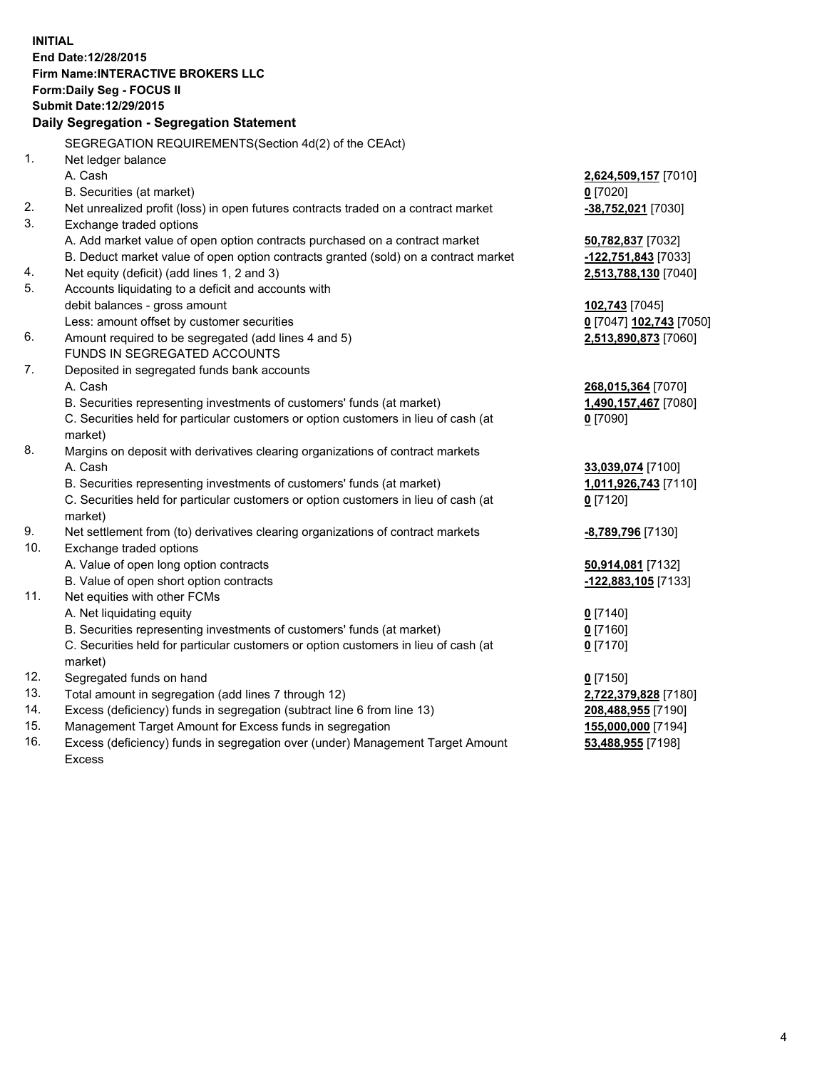**INITIAL End Date:12/28/2015 Firm Name:INTERACTIVE BROKERS LLC Form:Daily Seg - FOCUS II Submit Date:12/29/2015 Daily Segregation - Segregation Statement** SEGREGATION REQUIREMENTS(Section 4d(2) of the CEAct) 1. Net ledger balance A. Cash **2,624,509,157** [7010] B. Securities (at market) **0** [7020] 2. Net unrealized profit (loss) in open futures contracts traded on a contract market **-38,752,021** [7030] 3. Exchange traded options A. Add market value of open option contracts purchased on a contract market **50,782,837** [7032] B. Deduct market value of open option contracts granted (sold) on a contract market **-122,751,843** [7033] 4. Net equity (deficit) (add lines 1, 2 and 3) **2,513,788,130** [7040] 5. Accounts liquidating to a deficit and accounts with debit balances - gross amount **102,743** [7045] Less: amount offset by customer securities **0** [7047] **102,743** [7050] 6. Amount required to be segregated (add lines 4 and 5) **2,513,890,873** [7060] FUNDS IN SEGREGATED ACCOUNTS 7. Deposited in segregated funds bank accounts A. Cash **268,015,364** [7070] B. Securities representing investments of customers' funds (at market) **1,490,157,467** [7080] C. Securities held for particular customers or option customers in lieu of cash (at market) **0** [7090] 8. Margins on deposit with derivatives clearing organizations of contract markets A. Cash **33,039,074** [7100] B. Securities representing investments of customers' funds (at market) **1,011,926,743** [7110] C. Securities held for particular customers or option customers in lieu of cash (at market) **0** [7120] 9. Net settlement from (to) derivatives clearing organizations of contract markets **-8,789,796** [7130] 10. Exchange traded options A. Value of open long option contracts **50,914,081** [7132] B. Value of open short option contracts **-122,883,105** [7133] 11. Net equities with other FCMs A. Net liquidating equity **0** [7140] B. Securities representing investments of customers' funds (at market) **0** [7160] C. Securities held for particular customers or option customers in lieu of cash (at market) **0** [7170] 12. Segregated funds on hand **0** [7150] 13. Total amount in segregation (add lines 7 through 12) **2,722,379,828** [7180] 14. Excess (deficiency) funds in segregation (subtract line 6 from line 13) **208,488,955** [7190] 15. Management Target Amount for Excess funds in segregation **155,000,000** [7194]

16. Excess (deficiency) funds in segregation over (under) Management Target Amount Excess

**53,488,955** [7198]